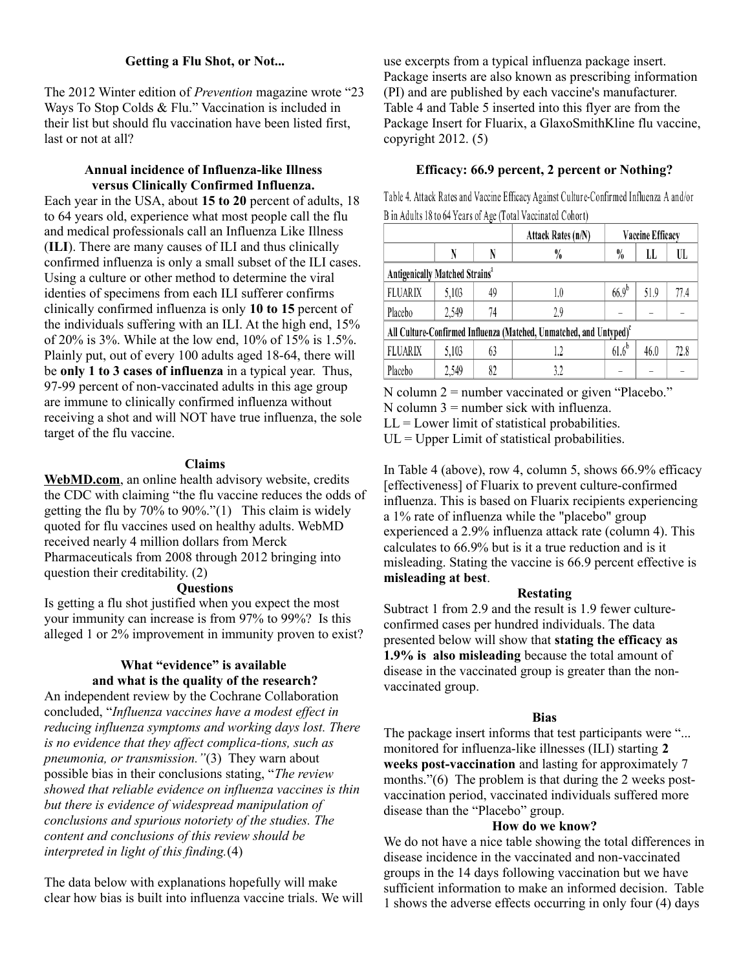## **Getting a Flu Shot, or Not...**

The 2012 Winter edition of *Prevention* magazine wrote "23 Ways To Stop Colds & Flu." Vaccination is included in their list but should flu vaccination have been listed first, last or not at all?

## **Annual incidence of Influenza-like Illness versus Clinically Confirmed Influenza.**

Each year in the USA, about **15 to 20** percent of adults, 18 to 64 years old, experience what most people call the flu and medical professionals call an Influenza Like Illness (**ILI**). There are many causes of ILI and thus clinically confirmed influenza is only a small subset of the ILI cases. Using a culture or other method to determine the viral identies of specimens from each ILI sufferer confirms clinically confirmed influenza is only **10 to 15** percent of the individuals suffering with an ILI. At the high end, 15% of 20% is 3%. While at the low end, 10% of 15% is 1.5%. Plainly put, out of every 100 adults aged 18-64, there will be **only 1 to 3 cases of influenza** in a typical year. Thus, 97-99 percent of non-vaccinated adults in this age group are immune to clinically confirmed influenza without receiving a shot and will NOT have true influenza, the sole target of the flu vaccine.

## **Claims**

**WebMD.com**, an online health advisory website, credits the CDC with claiming "the flu vaccine reduces the odds of getting the flu by 70% to 90%."(1) This claim is widely quoted for flu vaccines used on healthy adults. WebMD received nearly 4 million dollars from Merck Pharmaceuticals from 2008 through 2012 bringing into question their creditability. (2)

## **Questions**

Is getting a flu shot justified when you expect the most your immunity can increase is from 97% to 99%? Is this alleged 1 or 2% improvement in immunity proven to exist?

# **What "evidence" is available and what is the quality of the research?**

An independent review by the Cochrane Collaboration concluded, "*Influenza vaccines have a modest effect in reducing influenza symptoms and working days lost. There is no evidence that they affect complica-tions, such as pneumonia, or transmission."*(3) They warn about possible bias in their conclusions stating, "*The review showed that reliable evidence on influenza vaccines is thin but there is evidence of widespread manipulation of conclusions and spurious notoriety of the studies. The content and conclusions of this review should be interpreted in light of this finding.*(4)

The data below with explanations hopefully will make clear how bias is built into influenza vaccine trials. We will use excerpts from a typical influenza package insert. Package inserts are also known as prescribing information (PI) and are published by each vaccine's manufacturer. Table 4 and Table 5 inserted into this flyer are from the Package Insert for Fluarix, a GlaxoSmithKline flu vaccine, copyright  $2012. (5)$ 

# **Efficacy: 66.9 percent, 2 percent or Nothing?**

Table 4. Attack Rates and Vaccine Efficacy Against Culture-Confirmed Influenza A and/or B in Adults 18 to 64 Years of Age (Total Vaccinated Cohort)

|                                                                                |       |    | Attack Rates (n/N) |            | Vaccine Efficacy |      |  |  |
|--------------------------------------------------------------------------------|-------|----|--------------------|------------|------------------|------|--|--|
|                                                                                | N     |    | $\frac{0}{0}$      | $\%$       | LL               | UL   |  |  |
| Antigenically Matched Strains <sup>a</sup>                                     |       |    |                    |            |                  |      |  |  |
| <b>FLUARIX</b>                                                                 | 5,103 | 49 | 1.0                | $66.9^{b}$ | 51.9             | 77.4 |  |  |
| Placebo                                                                        | 2,549 | 74 | 2.9                |            |                  |      |  |  |
| All Culture-Confirmed Influenza (Matched, Unmatched, and Untyped) <sup>c</sup> |       |    |                    |            |                  |      |  |  |
| <b>FLUARIX</b>                                                                 | 5,103 | 63 | 1.2                | $61.6^{b}$ | 46.0             | 72.8 |  |  |
| Placebo                                                                        | 2,549 | 82 | 3.2                |            |                  |      |  |  |

 $N$  column  $2$  = number vaccinated or given "Placebo." N column  $3 =$  number sick with influenza.  $LL =$  Lower limit of statistical probabilities.  $UL = Upper Limit of statistical probabilities.$ 

In Table 4 (above), row 4, column 5, shows 66.9% efficacy [effectiveness] of Fluarix to prevent culture-confirmed influenza. This is based on Fluarix recipients experiencing a 1% rate of influenza while the "placebo" group experienced a 2.9% influenza attack rate (column 4). This calculates to 66.9% but is it a true reduction and is it misleading. Stating the vaccine is 66.9 percent effective is **misleading at best**.

## **Restating**

Subtract 1 from 2.9 and the result is 1.9 fewer cultureconfirmed cases per hundred individuals. The data presented below will show that **stating the efficacy as 1.9% is also misleading** because the total amount of disease in the vaccinated group is greater than the nonvaccinated group.

## **Bias**

The package insert informs that test participants were "... monitored for influenza-like illnesses (ILI) starting **2 weeks post-vaccination** and lasting for approximately 7 months."(6) The problem is that during the 2 weeks postvaccination period, vaccinated individuals suffered more disease than the "Placebo" group.

## **How do we know?**

We do not have a nice table showing the total differences in disease incidence in the vaccinated and non-vaccinated groups in the 14 days following vaccination but we have sufficient information to make an informed decision. Table 1 shows the adverse effects occurring in only four (4) days